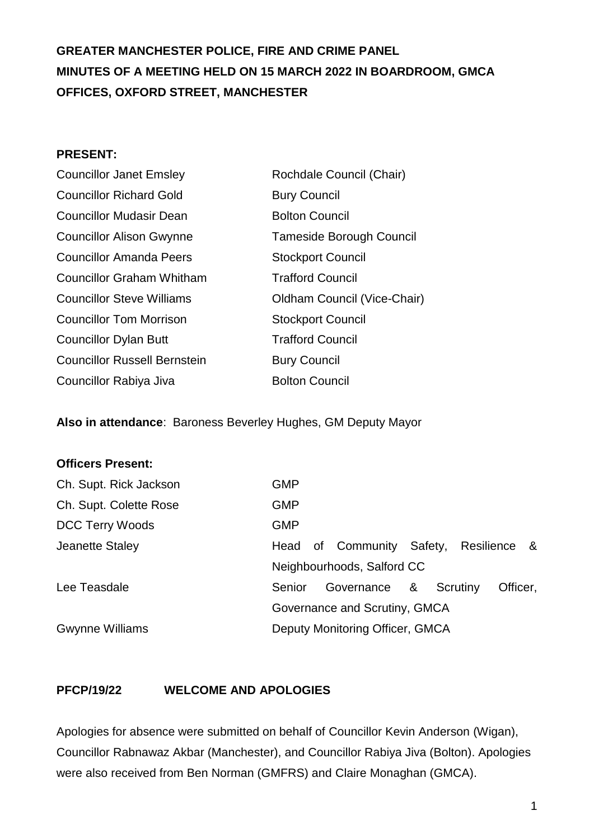# **GREATER MANCHESTER POLICE, FIRE AND CRIME PANEL MINUTES OF A MEETING HELD ON 15 MARCH 2022 IN BOARDROOM, GMCA OFFICES, OXFORD STREET, MANCHESTER**

#### **PRESENT:**

| <b>Councillor Janet Emsley</b>      | Rochdale Council (Chair)        |
|-------------------------------------|---------------------------------|
| <b>Councillor Richard Gold</b>      | <b>Bury Council</b>             |
| <b>Councillor Mudasir Dean</b>      | <b>Bolton Council</b>           |
| <b>Councillor Alison Gwynne</b>     | <b>Tameside Borough Council</b> |
| <b>Councillor Amanda Peers</b>      | <b>Stockport Council</b>        |
| <b>Councillor Graham Whitham</b>    | <b>Trafford Council</b>         |
| <b>Councillor Steve Williams</b>    | Oldham Council (Vice-Chair)     |
| <b>Councillor Tom Morrison</b>      | <b>Stockport Council</b>        |
| <b>Councillor Dylan Butt</b>        | <b>Trafford Council</b>         |
| <b>Councillor Russell Bernstein</b> | <b>Bury Council</b>             |
| Councillor Rabiya Jiva              | <b>Bolton Council</b>           |

**Also in attendance**: Baroness Beverley Hughes, GM Deputy Mayor

| <b>GMP</b>                    |  |  |  |              |                                                         |          |                          |
|-------------------------------|--|--|--|--------------|---------------------------------------------------------|----------|--------------------------|
| <b>GMP</b>                    |  |  |  |              |                                                         |          |                          |
| <b>GMP</b>                    |  |  |  |              |                                                         |          |                          |
| Head                          |  |  |  |              |                                                         |          |                          |
| Neighbourhoods, Salford CC    |  |  |  |              |                                                         |          |                          |
| Senior                        |  |  |  |              |                                                         |          |                          |
| Governance and Scrutiny, GMCA |  |  |  |              |                                                         |          |                          |
|                               |  |  |  |              |                                                         |          |                          |
|                               |  |  |  | Governance & | of Community Safety,<br>Deputy Monitoring Officer, GMCA | Scrutiny | Resilience &<br>Officer, |

#### **PFCP/19/22 WELCOME AND APOLOGIES**

Apologies for absence were submitted on behalf of Councillor Kevin Anderson (Wigan), Councillor Rabnawaz Akbar (Manchester), and Councillor Rabiya Jiva (Bolton). Apologies were also received from Ben Norman (GMFRS) and Claire Monaghan (GMCA).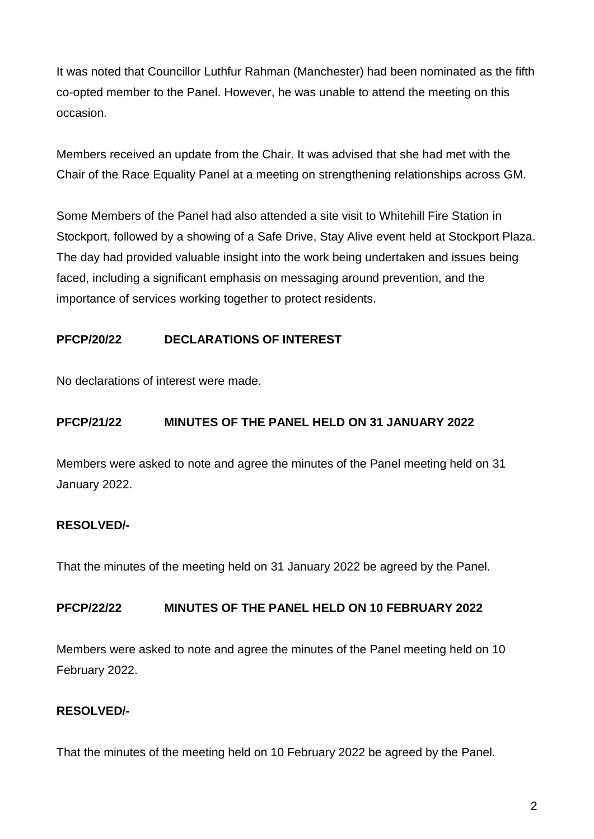It was noted that Councillor Luthfur Rahman (Manchester) had been nominated as the fifth co-opted member to the Panel. However, he was unable to attend the meeting on this occasion.

Members received an update from the Chair. It was advised that she had met with the Chair of the Race Equality Panel at a meeting on strengthening relationships across GM.

Some Members of the Panel had also attended a site visit to Whitehill Fire Station in Stockport, followed by a showing of a Safe Drive, Stay Alive event held at Stockport Plaza. The day had provided valuable insight into the work being undertaken and issues being faced, including a significant emphasis on messaging around prevention, and the importance of services working together to protect residents.

### **PFCP/20/22 DECLARATIONS OF INTEREST**

No declarations of interest were made.

### **PFCP/21/22 MINUTES OF THE PANEL HELD ON 31 JANUARY 2022**

Members were asked to note and agree the minutes of the Panel meeting held on 31 January 2022.

#### **RESOLVED/-**

That the minutes of the meeting held on 31 January 2022 be agreed by the Panel.

#### **PFCP/22/22 MINUTES OF THE PANEL HELD ON 10 FEBRUARY 2022**

Members were asked to note and agree the minutes of the Panel meeting held on 10 February 2022.

### **RESOLVED/-**

That the minutes of the meeting held on 10 February 2022 be agreed by the Panel.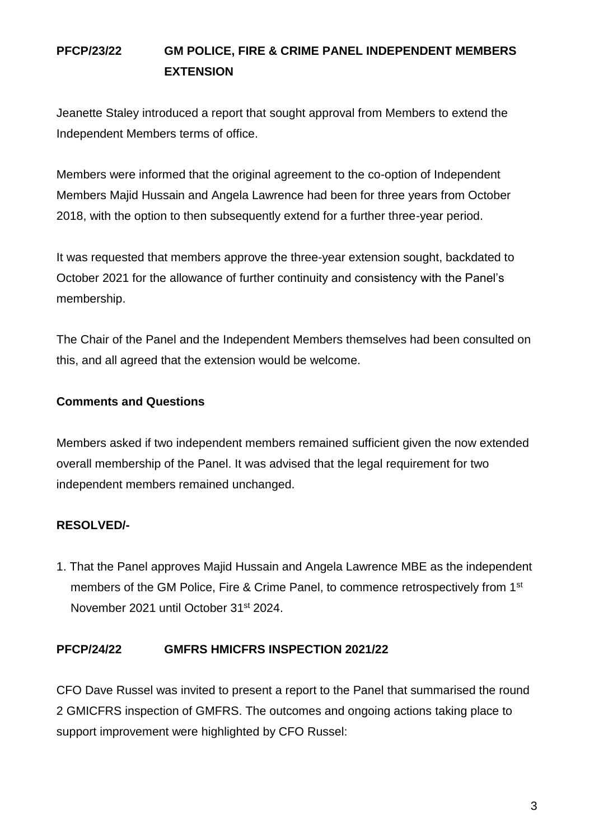# **PFCP/23/22 GM POLICE, FIRE & CRIME PANEL INDEPENDENT MEMBERS EXTENSION**

Jeanette Staley introduced a report that sought approval from Members to extend the Independent Members terms of office.

Members were informed that the original agreement to the co-option of Independent Members Majid Hussain and Angela Lawrence had been for three years from October 2018, with the option to then subsequently extend for a further three-year period.

It was requested that members approve the three-year extension sought, backdated to October 2021 for the allowance of further continuity and consistency with the Panel's membership.

The Chair of the Panel and the Independent Members themselves had been consulted on this, and all agreed that the extension would be welcome.

### **Comments and Questions**

Members asked if two independent members remained sufficient given the now extended overall membership of the Panel. It was advised that the legal requirement for two independent members remained unchanged.

### **RESOLVED/-**

1. That the Panel approves Majid Hussain and Angela Lawrence MBE as the independent members of the GM Police, Fire & Crime Panel, to commence retrospectively from 1<sup>st</sup> November 2021 until October 31st 2024.

#### **PFCP/24/22 GMFRS HMICFRS INSPECTION 2021/22**

CFO Dave Russel was invited to present a report to the Panel that summarised the round 2 GMICFRS inspection of GMFRS. The outcomes and ongoing actions taking place to support improvement were highlighted by CFO Russel: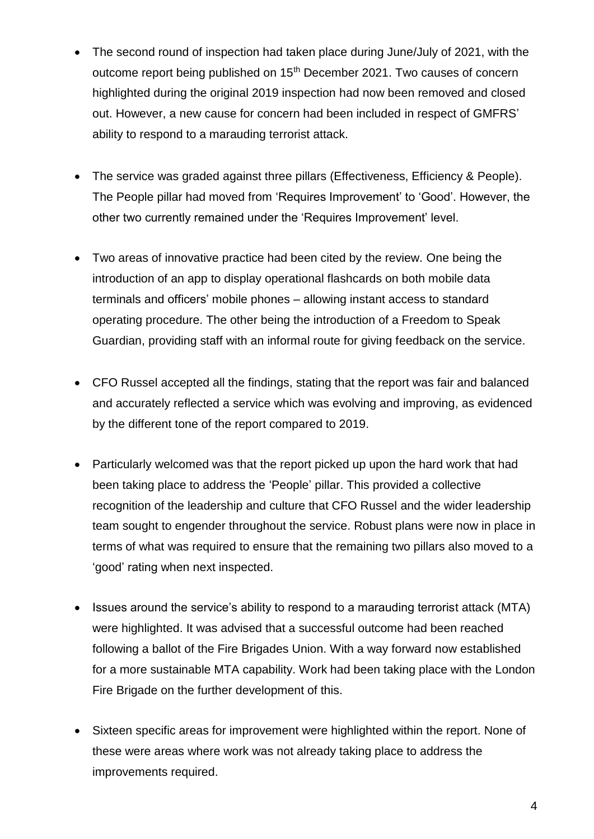- The second round of inspection had taken place during June/July of 2021, with the outcome report being published on 15<sup>th</sup> December 2021. Two causes of concern highlighted during the original 2019 inspection had now been removed and closed out. However, a new cause for concern had been included in respect of GMFRS' ability to respond to a marauding terrorist attack.
- The service was graded against three pillars (Effectiveness, Efficiency & People). The People pillar had moved from 'Requires Improvement' to 'Good'. However, the other two currently remained under the 'Requires Improvement' level.
- Two areas of innovative practice had been cited by the review. One being the introduction of an app to display operational flashcards on both mobile data terminals and officers' mobile phones – allowing instant access to standard operating procedure. The other being the introduction of a Freedom to Speak Guardian, providing staff with an informal route for giving feedback on the service.
- CFO Russel accepted all the findings, stating that the report was fair and balanced and accurately reflected a service which was evolving and improving, as evidenced by the different tone of the report compared to 2019.
- Particularly welcomed was that the report picked up upon the hard work that had been taking place to address the 'People' pillar. This provided a collective recognition of the leadership and culture that CFO Russel and the wider leadership team sought to engender throughout the service. Robust plans were now in place in terms of what was required to ensure that the remaining two pillars also moved to a 'good' rating when next inspected.
- Issues around the service's ability to respond to a marauding terrorist attack (MTA) were highlighted. It was advised that a successful outcome had been reached following a ballot of the Fire Brigades Union. With a way forward now established for a more sustainable MTA capability. Work had been taking place with the London Fire Brigade on the further development of this.
- Sixteen specific areas for improvement were highlighted within the report. None of these were areas where work was not already taking place to address the improvements required.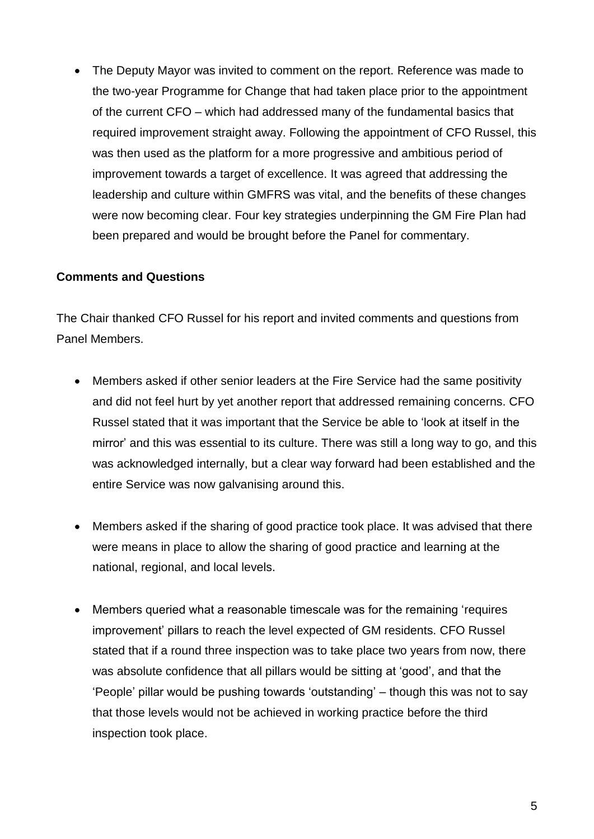• The Deputy Mayor was invited to comment on the report. Reference was made to the two-year Programme for Change that had taken place prior to the appointment of the current CFO – which had addressed many of the fundamental basics that required improvement straight away. Following the appointment of CFO Russel, this was then used as the platform for a more progressive and ambitious period of improvement towards a target of excellence. It was agreed that addressing the leadership and culture within GMFRS was vital, and the benefits of these changes were now becoming clear. Four key strategies underpinning the GM Fire Plan had been prepared and would be brought before the Panel for commentary.

#### **Comments and Questions**

The Chair thanked CFO Russel for his report and invited comments and questions from Panel Members.

- Members asked if other senior leaders at the Fire Service had the same positivity and did not feel hurt by yet another report that addressed remaining concerns. CFO Russel stated that it was important that the Service be able to 'look at itself in the mirror' and this was essential to its culture. There was still a long way to go, and this was acknowledged internally, but a clear way forward had been established and the entire Service was now galvanising around this.
- Members asked if the sharing of good practice took place. It was advised that there were means in place to allow the sharing of good practice and learning at the national, regional, and local levels.
- Members queried what a reasonable timescale was for the remaining 'requires improvement' pillars to reach the level expected of GM residents. CFO Russel stated that if a round three inspection was to take place two years from now, there was absolute confidence that all pillars would be sitting at 'good', and that the 'People' pillar would be pushing towards 'outstanding' – though this was not to say that those levels would not be achieved in working practice before the third inspection took place.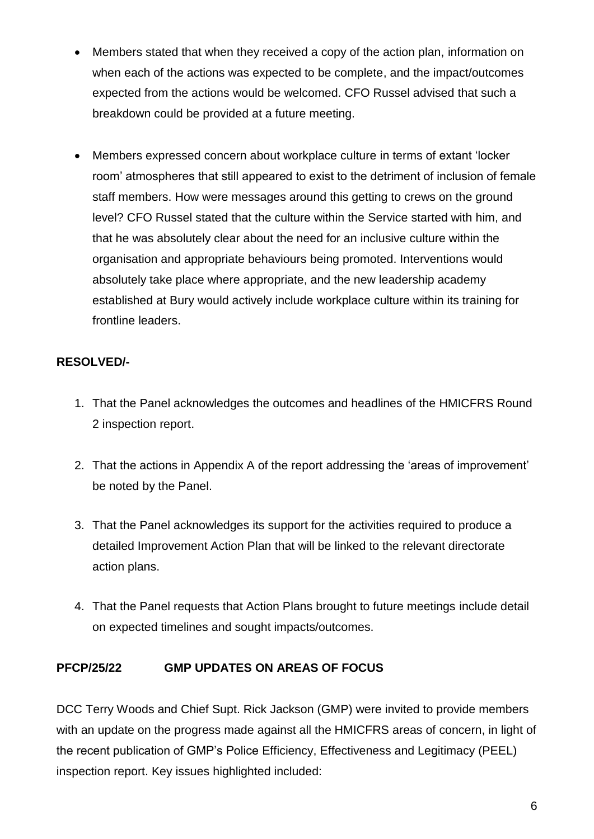- Members stated that when they received a copy of the action plan, information on when each of the actions was expected to be complete, and the impact/outcomes expected from the actions would be welcomed. CFO Russel advised that such a breakdown could be provided at a future meeting.
- Members expressed concern about workplace culture in terms of extant 'locker room' atmospheres that still appeared to exist to the detriment of inclusion of female staff members. How were messages around this getting to crews on the ground level? CFO Russel stated that the culture within the Service started with him, and that he was absolutely clear about the need for an inclusive culture within the organisation and appropriate behaviours being promoted. Interventions would absolutely take place where appropriate, and the new leadership academy established at Bury would actively include workplace culture within its training for frontline leaders.

## **RESOLVED/-**

- 1. That the Panel acknowledges the outcomes and headlines of the HMICFRS Round 2 inspection report.
- 2. That the actions in Appendix A of the report addressing the 'areas of improvement' be noted by the Panel.
- 3. That the Panel acknowledges its support for the activities required to produce a detailed Improvement Action Plan that will be linked to the relevant directorate action plans.
- 4. That the Panel requests that Action Plans brought to future meetings include detail on expected timelines and sought impacts/outcomes.

### **PFCP/25/22 GMP UPDATES ON AREAS OF FOCUS**

DCC Terry Woods and Chief Supt. Rick Jackson (GMP) were invited to provide members with an update on the progress made against all the HMICFRS areas of concern, in light of the recent publication of GMP's Police Efficiency, Effectiveness and Legitimacy (PEEL) inspection report. Key issues highlighted included: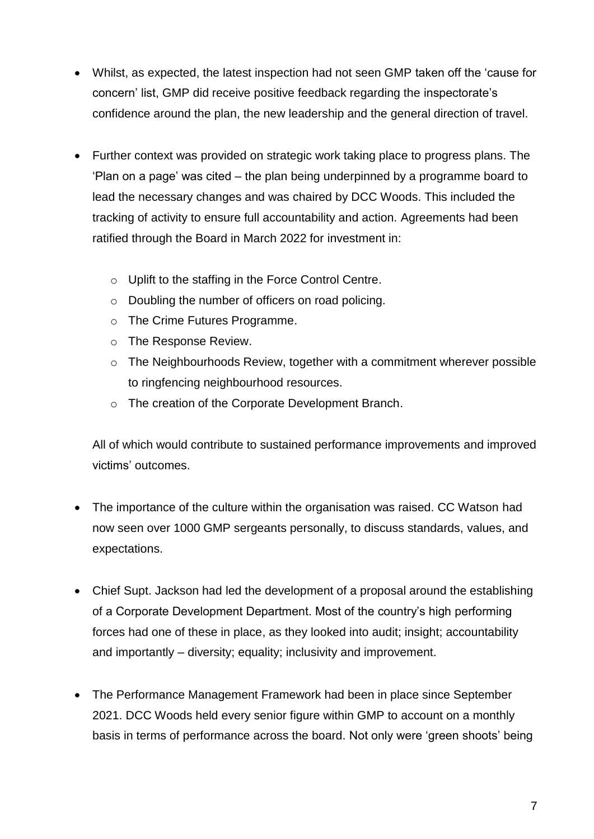- Whilst, as expected, the latest inspection had not seen GMP taken off the 'cause for concern' list, GMP did receive positive feedback regarding the inspectorate's confidence around the plan, the new leadership and the general direction of travel.
- Further context was provided on strategic work taking place to progress plans. The 'Plan on a page' was cited – the plan being underpinned by a programme board to lead the necessary changes and was chaired by DCC Woods. This included the tracking of activity to ensure full accountability and action. Agreements had been ratified through the Board in March 2022 for investment in:
	- o Uplift to the staffing in the Force Control Centre.
	- o Doubling the number of officers on road policing.
	- o The Crime Futures Programme.
	- o The Response Review.
	- o The Neighbourhoods Review, together with a commitment wherever possible to ringfencing neighbourhood resources.
	- o The creation of the Corporate Development Branch.

All of which would contribute to sustained performance improvements and improved victims' outcomes.

- The importance of the culture within the organisation was raised. CC Watson had now seen over 1000 GMP sergeants personally, to discuss standards, values, and expectations.
- Chief Supt. Jackson had led the development of a proposal around the establishing of a Corporate Development Department. Most of the country's high performing forces had one of these in place, as they looked into audit; insight; accountability and importantly – diversity; equality; inclusivity and improvement.
- The Performance Management Framework had been in place since September 2021. DCC Woods held every senior figure within GMP to account on a monthly basis in terms of performance across the board. Not only were 'green shoots' being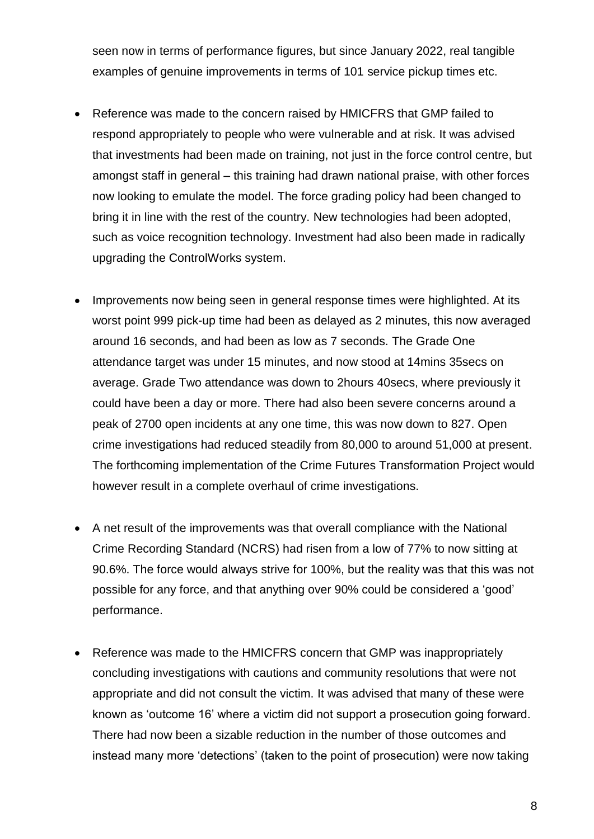seen now in terms of performance figures, but since January 2022, real tangible examples of genuine improvements in terms of 101 service pickup times etc.

- Reference was made to the concern raised by HMICFRS that GMP failed to respond appropriately to people who were vulnerable and at risk. It was advised that investments had been made on training, not just in the force control centre, but amongst staff in general – this training had drawn national praise, with other forces now looking to emulate the model. The force grading policy had been changed to bring it in line with the rest of the country. New technologies had been adopted, such as voice recognition technology. Investment had also been made in radically upgrading the ControlWorks system.
- Improvements now being seen in general response times were highlighted. At its worst point 999 pick-up time had been as delayed as 2 minutes, this now averaged around 16 seconds, and had been as low as 7 seconds. The Grade One attendance target was under 15 minutes, and now stood at 14mins 35secs on average. Grade Two attendance was down to 2hours 40secs, where previously it could have been a day or more. There had also been severe concerns around a peak of 2700 open incidents at any one time, this was now down to 827. Open crime investigations had reduced steadily from 80,000 to around 51,000 at present. The forthcoming implementation of the Crime Futures Transformation Project would however result in a complete overhaul of crime investigations.
- A net result of the improvements was that overall compliance with the National Crime Recording Standard (NCRS) had risen from a low of 77% to now sitting at 90.6%. The force would always strive for 100%, but the reality was that this was not possible for any force, and that anything over 90% could be considered a 'good' performance.
- Reference was made to the HMICFRS concern that GMP was inappropriately concluding investigations with cautions and community resolutions that were not appropriate and did not consult the victim. It was advised that many of these were known as 'outcome 16' where a victim did not support a prosecution going forward. There had now been a sizable reduction in the number of those outcomes and instead many more 'detections' (taken to the point of prosecution) were now taking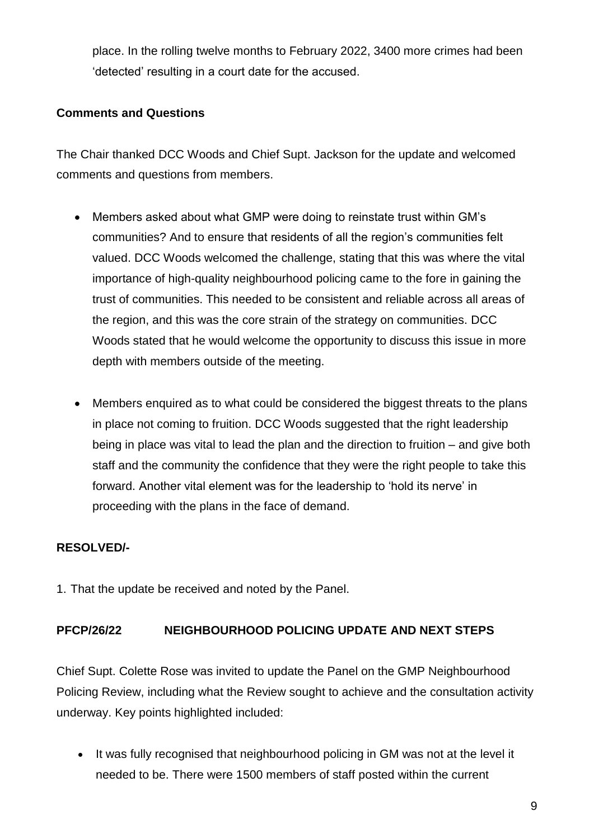place. In the rolling twelve months to February 2022, 3400 more crimes had been 'detected' resulting in a court date for the accused.

#### **Comments and Questions**

The Chair thanked DCC Woods and Chief Supt. Jackson for the update and welcomed comments and questions from members.

- Members asked about what GMP were doing to reinstate trust within GM's communities? And to ensure that residents of all the region's communities felt valued. DCC Woods welcomed the challenge, stating that this was where the vital importance of high-quality neighbourhood policing came to the fore in gaining the trust of communities. This needed to be consistent and reliable across all areas of the region, and this was the core strain of the strategy on communities. DCC Woods stated that he would welcome the opportunity to discuss this issue in more depth with members outside of the meeting.
- Members enquired as to what could be considered the biggest threats to the plans in place not coming to fruition. DCC Woods suggested that the right leadership being in place was vital to lead the plan and the direction to fruition – and give both staff and the community the confidence that they were the right people to take this forward. Another vital element was for the leadership to 'hold its nerve' in proceeding with the plans in the face of demand.

### **RESOLVED/-**

1. That the update be received and noted by the Panel.

#### **PFCP/26/22 NEIGHBOURHOOD POLICING UPDATE AND NEXT STEPS**

Chief Supt. Colette Rose was invited to update the Panel on the GMP Neighbourhood Policing Review, including what the Review sought to achieve and the consultation activity underway. Key points highlighted included:

 It was fully recognised that neighbourhood policing in GM was not at the level it needed to be. There were 1500 members of staff posted within the current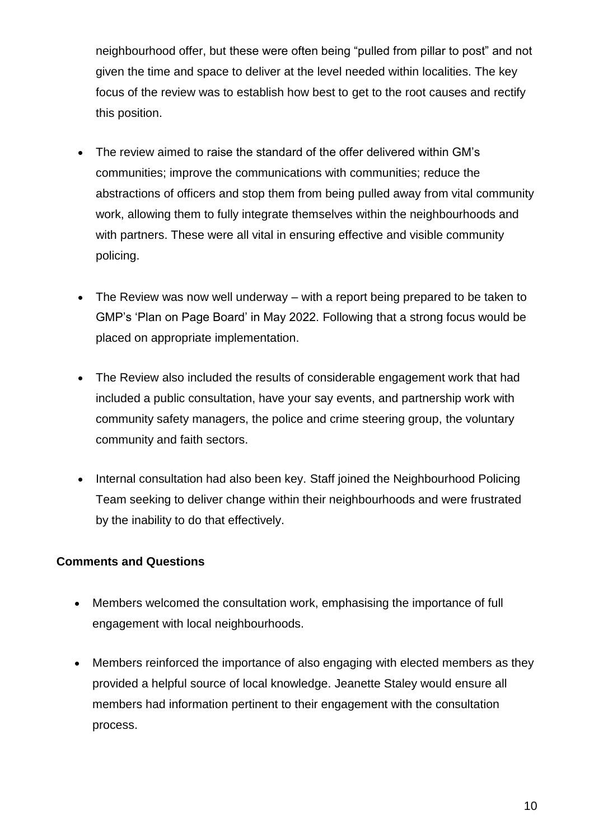neighbourhood offer, but these were often being "pulled from pillar to post" and not given the time and space to deliver at the level needed within localities. The key focus of the review was to establish how best to get to the root causes and rectify this position.

- The review aimed to raise the standard of the offer delivered within GM's communities; improve the communications with communities; reduce the abstractions of officers and stop them from being pulled away from vital community work, allowing them to fully integrate themselves within the neighbourhoods and with partners. These were all vital in ensuring effective and visible community policing.
- The Review was now well underway with a report being prepared to be taken to GMP's 'Plan on Page Board' in May 2022. Following that a strong focus would be placed on appropriate implementation.
- The Review also included the results of considerable engagement work that had included a public consultation, have your say events, and partnership work with community safety managers, the police and crime steering group, the voluntary community and faith sectors.
- Internal consultation had also been key. Staff joined the Neighbourhood Policing Team seeking to deliver change within their neighbourhoods and were frustrated by the inability to do that effectively.

### **Comments and Questions**

- Members welcomed the consultation work, emphasising the importance of full engagement with local neighbourhoods.
- Members reinforced the importance of also engaging with elected members as they provided a helpful source of local knowledge. Jeanette Staley would ensure all members had information pertinent to their engagement with the consultation process.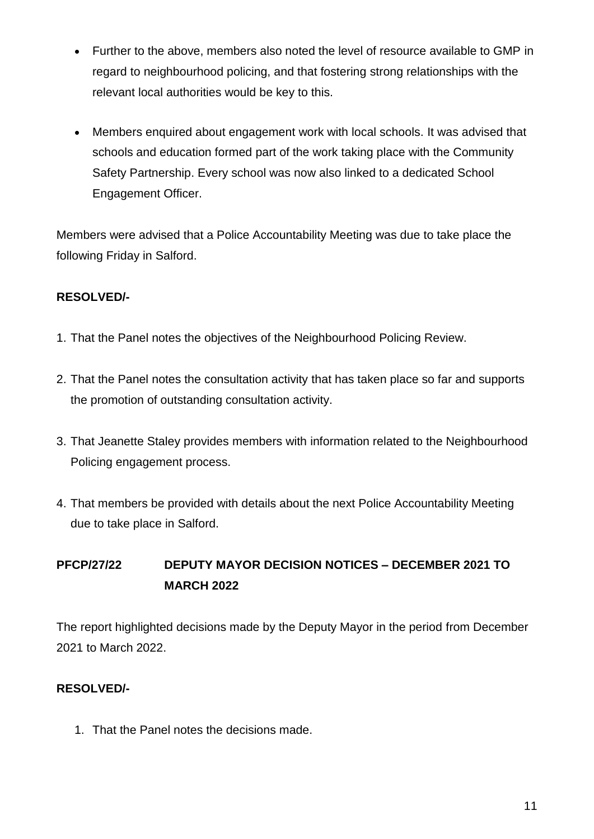- Further to the above, members also noted the level of resource available to GMP in regard to neighbourhood policing, and that fostering strong relationships with the relevant local authorities would be key to this.
- Members enquired about engagement work with local schools. It was advised that schools and education formed part of the work taking place with the Community Safety Partnership. Every school was now also linked to a dedicated School Engagement Officer.

Members were advised that a Police Accountability Meeting was due to take place the following Friday in Salford.

### **RESOLVED/-**

- 1. That the Panel notes the objectives of the Neighbourhood Policing Review.
- 2. That the Panel notes the consultation activity that has taken place so far and supports the promotion of outstanding consultation activity.
- 3. That Jeanette Staley provides members with information related to the Neighbourhood Policing engagement process.
- 4. That members be provided with details about the next Police Accountability Meeting due to take place in Salford.

# **PFCP/27/22 DEPUTY MAYOR DECISION NOTICES – DECEMBER 2021 TO MARCH 2022**

The report highlighted decisions made by the Deputy Mayor in the period from December 2021 to March 2022.

#### **RESOLVED/-**

1. That the Panel notes the decisions made.